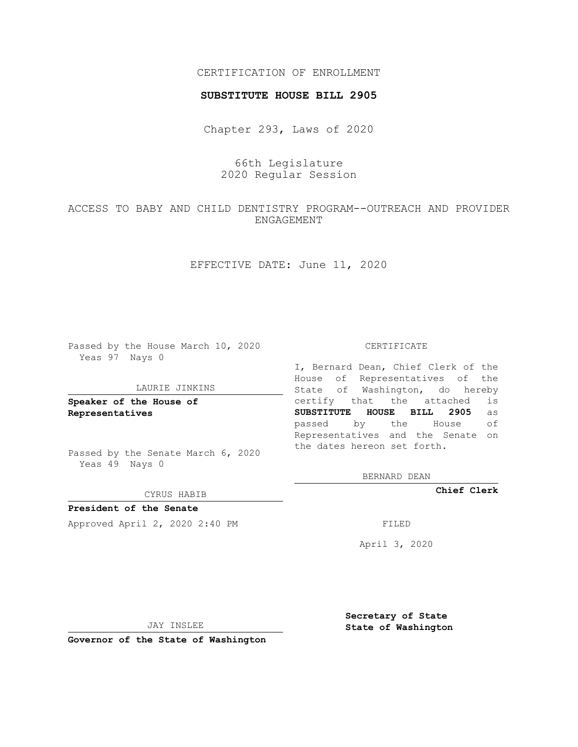## CERTIFICATION OF ENROLLMENT

### **SUBSTITUTE HOUSE BILL 2905**

Chapter 293, Laws of 2020

# 66th Legislature 2020 Regular Session

# ACCESS TO BABY AND CHILD DENTISTRY PROGRAM--OUTREACH AND PROVIDER ENGAGEMENT

## EFFECTIVE DATE: June 11, 2020

Passed by the House March 10, 2020 Yeas 97 Nays 0

#### LAURIE JINKINS

**Speaker of the House of Representatives**

Passed by the Senate March 6, 2020 Yeas 49 Nays 0

CYRUS HABIB

**President of the Senate** Approved April 2, 2020 2:40 PM

CERTIFICATE

I, Bernard Dean, Chief Clerk of the House of Representatives of the State of Washington, do hereby certify that the attached is **SUBSTITUTE HOUSE BILL 2905** as passed by the House of Representatives and the Senate on the dates hereon set forth.

BERNARD DEAN

**Chief Clerk**

April 3, 2020

JAY INSLEE

**Governor of the State of Washington**

**Secretary of State State of Washington**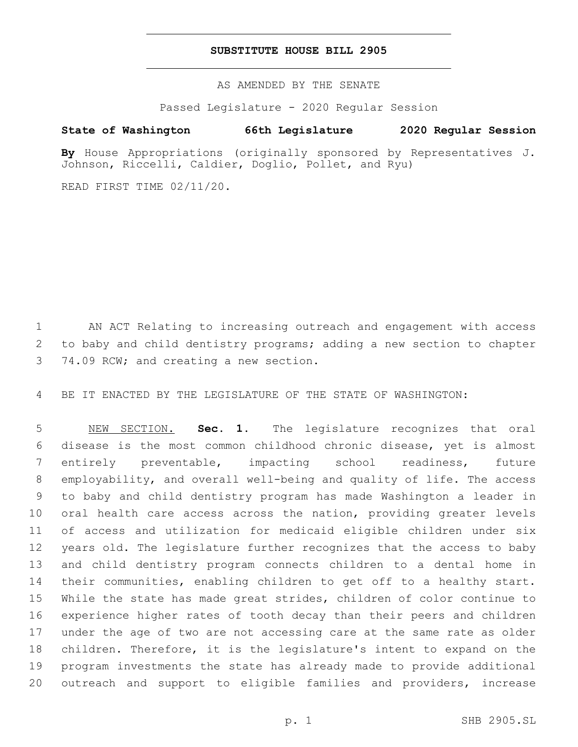### **SUBSTITUTE HOUSE BILL 2905**

AS AMENDED BY THE SENATE

Passed Legislature - 2020 Regular Session

## **State of Washington 66th Legislature 2020 Regular Session**

**By** House Appropriations (originally sponsored by Representatives J. Johnson, Riccelli, Caldier, Doglio, Pollet, and Ryu)

READ FIRST TIME 02/11/20.

 AN ACT Relating to increasing outreach and engagement with access to baby and child dentistry programs; adding a new section to chapter 3 74.09 RCW; and creating a new section.

BE IT ENACTED BY THE LEGISLATURE OF THE STATE OF WASHINGTON:

 NEW SECTION. **Sec. 1.** The legislature recognizes that oral disease is the most common childhood chronic disease, yet is almost entirely preventable, impacting school readiness, future employability, and overall well-being and quality of life. The access to baby and child dentistry program has made Washington a leader in oral health care access across the nation, providing greater levels of access and utilization for medicaid eligible children under six years old. The legislature further recognizes that the access to baby and child dentistry program connects children to a dental home in their communities, enabling children to get off to a healthy start. While the state has made great strides, children of color continue to experience higher rates of tooth decay than their peers and children under the age of two are not accessing care at the same rate as older children. Therefore, it is the legislature's intent to expand on the program investments the state has already made to provide additional outreach and support to eligible families and providers, increase